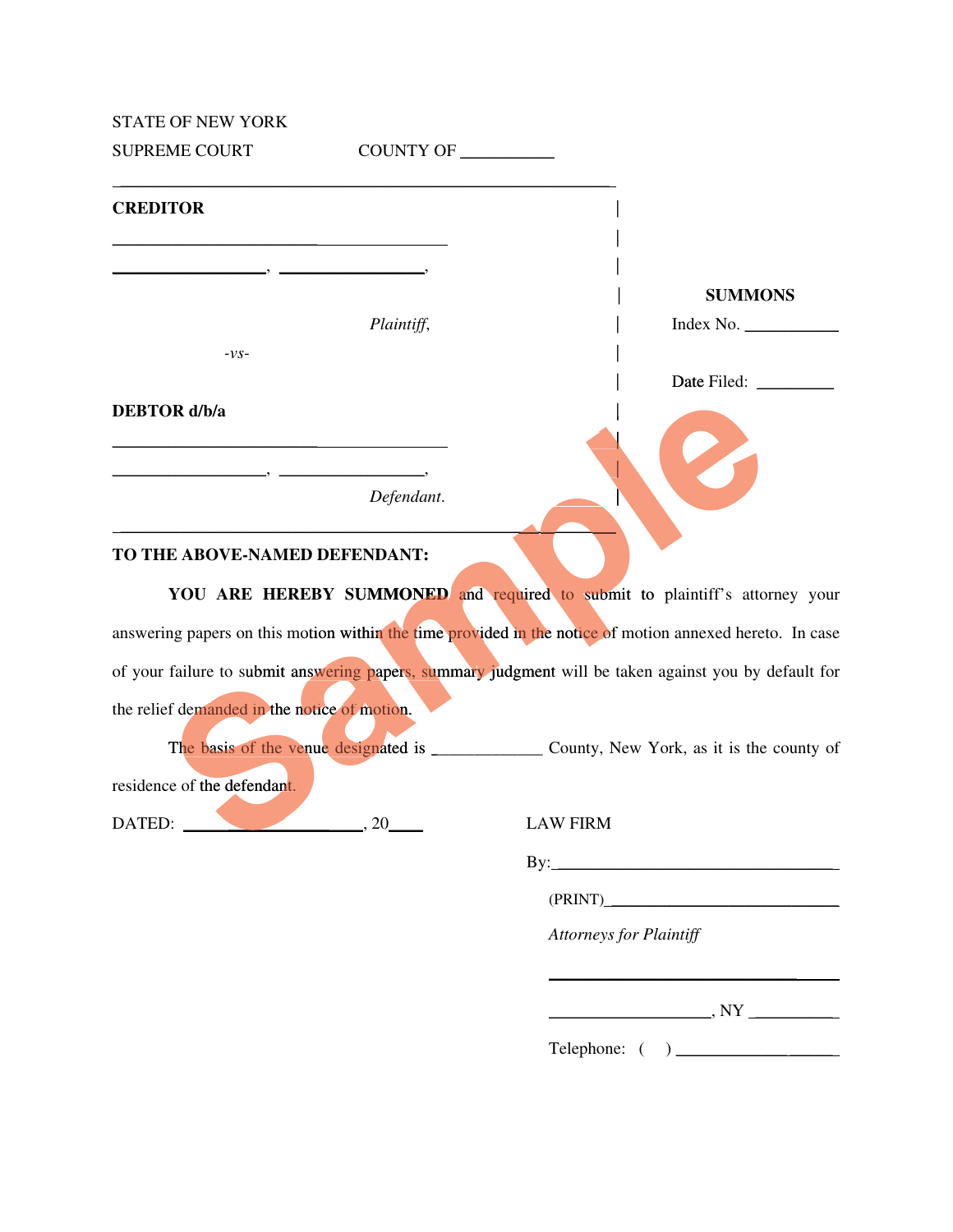STATE OF NEW YORK

| <b>SUPREME COURT</b>                         | COUNTY OF                                                                                                             |                                                                                                          |
|----------------------------------------------|-----------------------------------------------------------------------------------------------------------------------|----------------------------------------------------------------------------------------------------------|
| <b>CREDITOR</b>                              |                                                                                                                       |                                                                                                          |
|                                              |                                                                                                                       |                                                                                                          |
|                                              |                                                                                                                       | <b>SUMMONS</b>                                                                                           |
|                                              | Plaintiff,                                                                                                            | Index No.                                                                                                |
| $-VS-$                                       |                                                                                                                       |                                                                                                          |
|                                              |                                                                                                                       |                                                                                                          |
| <b>DEBTOR</b> d/b/a                          | <u> 1989 - Johann Harry Harry Harry Harry Harry Harry Harry Harry Harry Harry Harry Harry Harry Harry Harry Harry</u> |                                                                                                          |
|                                              | Defendant.                                                                                                            |                                                                                                          |
| TO THE ABOVE-NAMED DEFENDANT:                |                                                                                                                       |                                                                                                          |
|                                              |                                                                                                                       | YOU ARE HEREBY SUMMONED and required to submit to plaintiff's attorney your                              |
|                                              |                                                                                                                       | answering papers on this motion within the time provided in the notice of motion annexed hereto. In case |
|                                              |                                                                                                                       | of your failure to submit answering papers, summary judgment will be taken against you by default for    |
| the relief demanded in the notice of motion. |                                                                                                                       |                                                                                                          |
|                                              |                                                                                                                       |                                                                                                          |
| residence of the defendant.                  |                                                                                                                       |                                                                                                          |
| DATED: $\qquad \qquad \overbrace{20}$        |                                                                                                                       | <b>LAW FIRM</b>                                                                                          |

## **TO THE ABOVE-NAMED DEFENDANT:**

 $\frac{1}{\sqrt{2}}$  ,  $\frac{1}{\sqrt{2}}$  ,  $\frac{1}{\sqrt{2}}$  ,  $\frac{1}{\sqrt{2}}$  ,  $\frac{1}{\sqrt{2}}$  ,  $\frac{1}{\sqrt{2}}$  ,  $\frac{1}{\sqrt{2}}$  ,  $\frac{1}{\sqrt{2}}$  ,  $\frac{1}{\sqrt{2}}$  ,  $\frac{1}{\sqrt{2}}$  ,  $\frac{1}{\sqrt{2}}$  ,  $\frac{1}{\sqrt{2}}$  ,  $\frac{1}{\sqrt{2}}$  ,  $\frac{1}{\sqrt{2}}$  ,  $\frac{1}{\sqrt{2}}$ 

By: \_\_\_\_\_\_\_\_\_\_\_\_\_\_\_\_\_\_\_\_\_\_\_\_\_\_\_\_\_\_\_\_

(PRINT) \_\_\_\_\_\_\_\_\_\_\_\_\_\_\_\_\_\_\_\_\_\_\_\_\_\_\_\_\_

*Attorneys for Plaintiff*

\_\_\_\_\_\_\_\_\_\_\_\_\_\_\_\_\_\_\_, NY \_\_\_\_\_\_\_\_\_

Telephone: ( ) \_\_\_\_\_\_\_\_\_\_\_\_\_ \_\_\_\_\_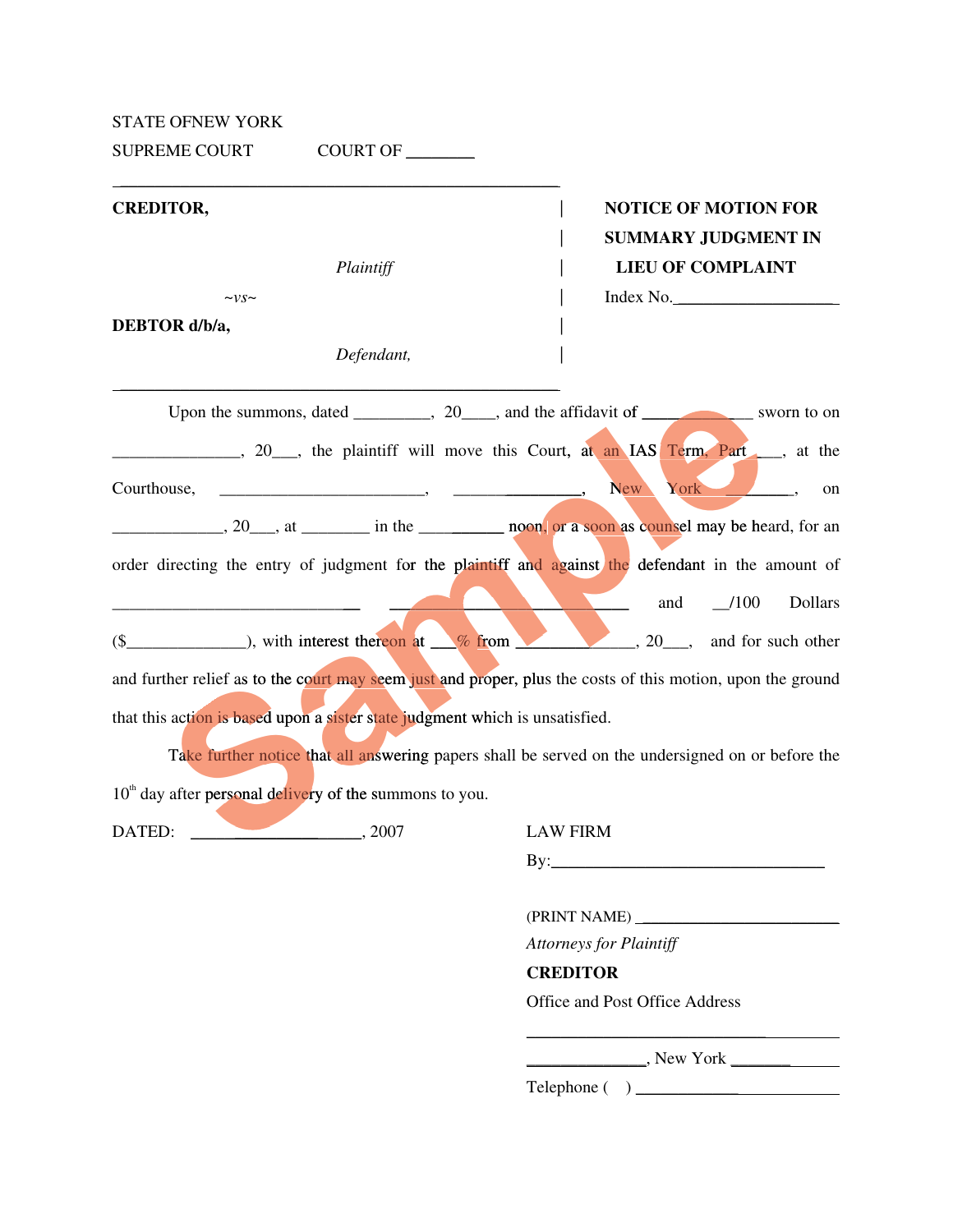STATE OFNEW YORK

SUPREME COURT COURT OF \_\_\_\_\_\_\_\_

| <b>CREDITOR,</b>                                                             |            | <b>NOTICE OF MOTION FOR</b>                                                                                 |
|------------------------------------------------------------------------------|------------|-------------------------------------------------------------------------------------------------------------|
|                                                                              |            | <b>SUMMARY JUDGMENT IN</b>                                                                                  |
|                                                                              | Plaintiff  | <b>LIEU OF COMPLAINT</b>                                                                                    |
| $\sim v s \sim$                                                              |            | Index No.                                                                                                   |
| DEBTOR d/b/a,                                                                |            |                                                                                                             |
|                                                                              | Defendant, |                                                                                                             |
|                                                                              |            | Upon the summons, dated _________, 20____, and the affidavit of ______________ sworn to on                  |
|                                                                              |            | 20 he plaintiff will move this Court, at an IAS Term, Part has the                                          |
| Courthouse,                                                                  |            | <b>New</b><br>York<br>on                                                                                    |
|                                                                              |            | 20 <sub>, at</sub> in the negative near a soon as counsel may be heard, for an                              |
|                                                                              |            | order directing the entry of judgment for the plaintiff and against the defendant in the amount of          |
|                                                                              |            | $\frac{-100}{-100}$<br>Dollars<br>and                                                                       |
|                                                                              |            | $(\$$ , 20, and for such other                                                                              |
|                                                                              |            | and further relief as to the court may seem just and proper, plus the costs of this motion, upon the ground |
| that this action is based upon a sister state judgment which is unsatisfied. |            |                                                                                                             |
|                                                                              |            | Take further notice that all answering papers shall be served on the undersigned on or before the           |
| $10th$ day after personal delivery of the summons to you.                    |            |                                                                                                             |
| DATED:<br>$\sim$ 2007                                                        |            | <b>LAW FIRM</b>                                                                                             |

By:\_\_\_\_\_\_\_\_\_\_\_\_\_\_\_\_\_\_\_\_\_\_\_\_\_\_\_\_\_\_\_\_

(PRINT NAME) \_\_\_\_\_\_\_\_\_\_\_\_\_\_\_\_\_\_\_\_\_\_\_\_\_

*Attorneys for Plaintiff* 

 **CREDITOR**

Office and Post Office Address

\_\_\_\_\_\_\_\_\_\_\_\_\_\_, New York \_\_\_\_\_\_\_

Telephone ( ) \_\_\_\_\_\_\_\_\_\_\_\_

 $\frac{\partial u_{\mu\nu}}{\partial \nu}$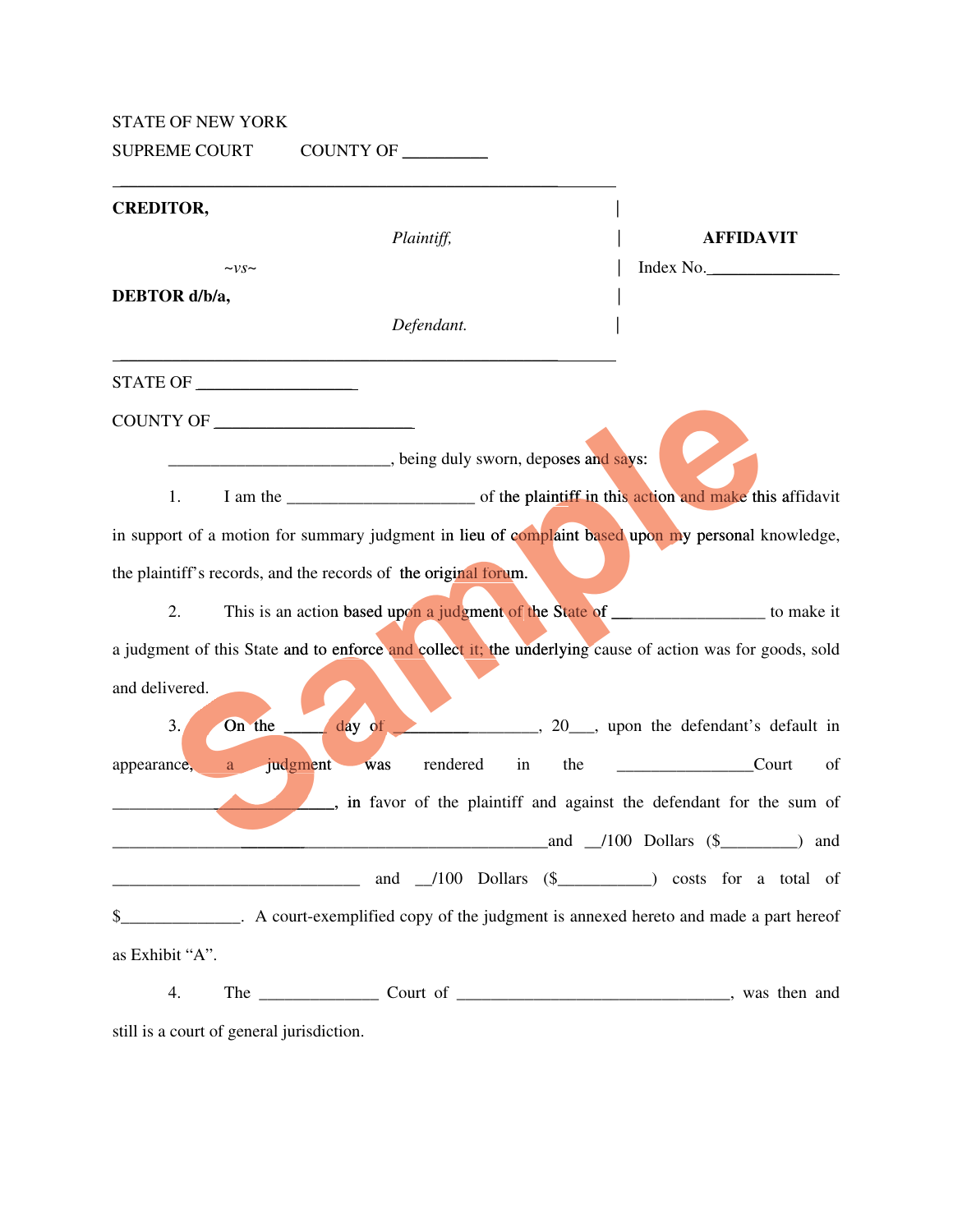## STATE OF NEW YORK

SUPREME COURT COUNTY OF \_\_\_\_\_\_\_\_

| <b>CREDITOR,</b>                                                                                           |                                                 |
|------------------------------------------------------------------------------------------------------------|-------------------------------------------------|
| Plaintiff,                                                                                                 | <b>AFFIDAVIT</b>                                |
| $\sim v s \sim$                                                                                            | Index No.                                       |
| DEBTOR d/b/a,                                                                                              |                                                 |
| Defendant.                                                                                                 |                                                 |
|                                                                                                            |                                                 |
| COUNTY OF                                                                                                  |                                                 |
| <u><b>Example 20</b></u> , being duly sworn, deposes and says:                                             |                                                 |
| 1.                                                                                                         |                                                 |
| in support of a motion for summary judgment in lieu of complaint based upon my personal knowledge,         |                                                 |
| the plaintiff's records, and the records of the original forum.                                            |                                                 |
| This is an action based upon a judgment of the State of __________________ to make it<br>2.                |                                                 |
| a judgment of this State and to enforce and collect it; the underlying cause of action was for goods, sold |                                                 |
| and delivered.                                                                                             |                                                 |
| $\dots$ day of $\overline{\phantom{a}}$<br>On the<br>3.                                                    | 20 <sub>, upon</sub> the defendant's default in |
| judgment<br>rendered<br>the<br>was<br>in<br>appearance,<br>a                                               | <b>Court</b><br>of                              |
| , in favor of the plaintiff and against the defendant for the sum of                                       |                                                 |
|                                                                                                            | and $\angle 100$ Dollars (\$<br>and             |
| and 100 Dollars (\$<br><u> 1980 - Jan James James Barnett, fransk politik (d. 1980)</u>                    |                                                 |
| \$_______________. A court-exemplified copy of the judgment is annexed hereto and made a part hereof       |                                                 |
| as Exhibit "A".                                                                                            |                                                 |
| 4.                                                                                                         |                                                 |

still is a court of general jurisdiction.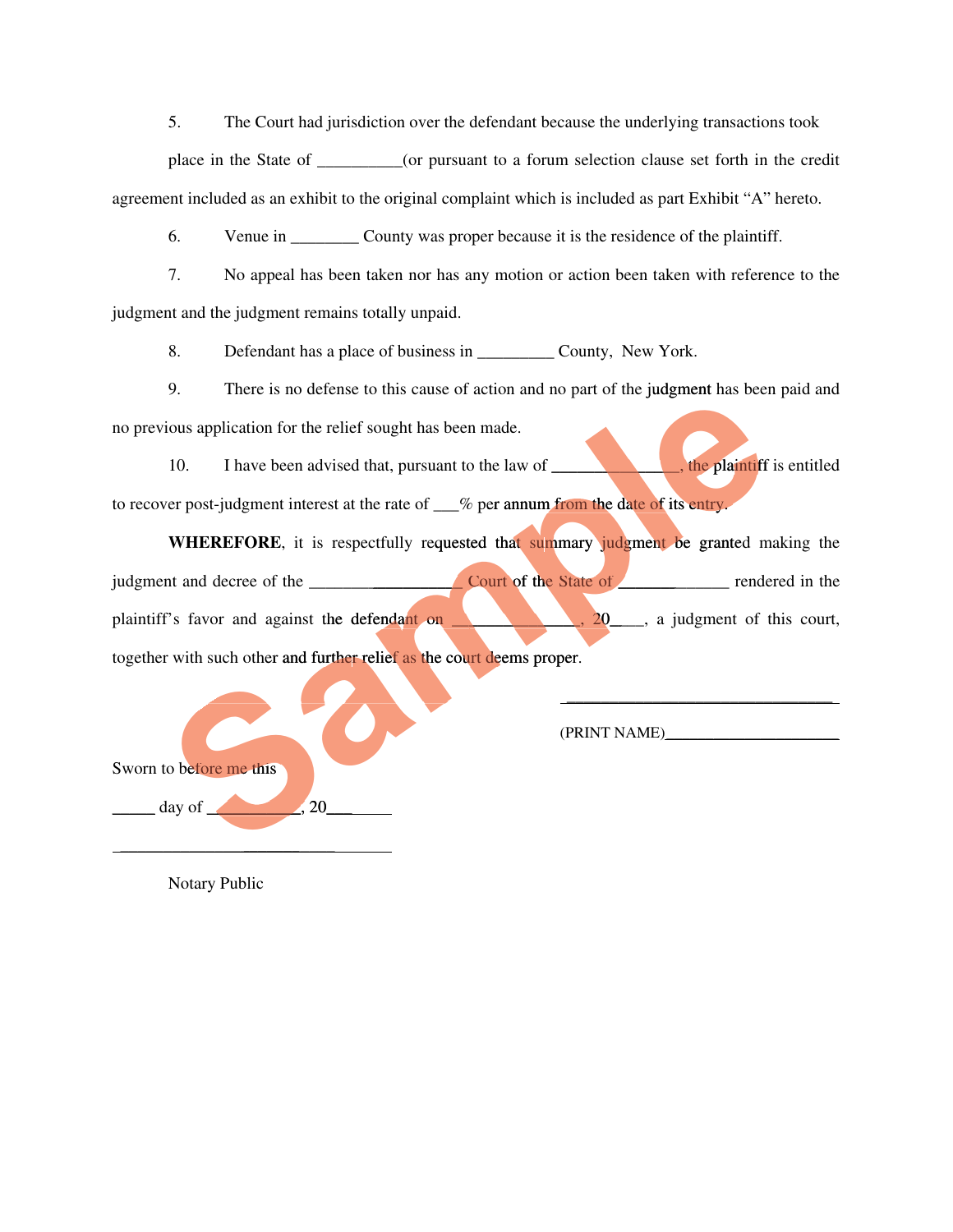5. The Court had jurisdiction over the defendant because the underlying transactions took

place in the State of \_\_\_\_\_\_\_\_\_\_(or pursuant to a forum selection clause set forth in the credit agreement included as an exhibit to the original complaint which is included as part Exhibit "A" hereto.

6. Venue in County was proper because it is the residence of the plaintiff.

7. No appeal has been taken nor has any motion or action been taken with reference to the judgment and the judgment remains totally unpaid.

8. Defendant has a place of business in \_\_\_\_\_\_\_\_\_\_\_\_ County, New York.

9. There is no defense to this cause of action and no part of the judgment has been paid and no previous application for the relief sought has been made.

10. I have been advised that, pursuant to the law of  $\frac{1}{\sqrt{1-\frac{1}{\sqrt{1-\frac{1}{\sqrt{1-\frac{1}{\sqrt{1-\frac{1}{\sqrt{1-\frac{1}{\sqrt{1-\frac{1}{\sqrt{1-\frac{1}{\sqrt{1-\frac{1}{\sqrt{1-\frac{1}{\sqrt{1-\frac{1}{\sqrt{1-\frac{1}{\sqrt{1-\frac{1}{\sqrt{1-\frac{1}{\sqrt{1-\frac{1}{\sqrt{1-\frac{1}{\sqrt{1-\frac{1}{\sqrt{1-\frac{1}{\sqrt{1-\frac{1}{\$ to recover post-judgment interest at the rate of  $\_\%$  per annum from the date of its entry.  $\overline{\phantom{a}}$ , the plaintiff is entitled

er post-judgment interest at the rate of <u>each</u> of per annum from the date of its entry.<br> **WHEREFORE**, it is respectfully requested that summary judgment be granted making the judgment and decree of the  $\frac{1}{\sqrt{2\pi}}$  Court of the State of  $\frac{1}{\sqrt{2\pi}}$  rendered in the plaintiff's favor and against the defendant on  $\Box$ ,  $\Box$ ,  $\Box$ ,  $\Box$ , a judgment of this court, together with such other and further relief as the court deems proper. 9. There is no defense to this cause of action and no part of the judgment has been<br>tious application for the relief sought has been made.<br>
10. I have been advised that, pursuant to the law of<br>
ver post-judgment interest a her and as de r efore \_\_\_\_\_\_\_\_\_\_\_ \_\_\_\_\_\_\_\_\_\_**S**, \_\_\_\_\_\_\_

 $\blacksquare$   $\blacksquare$   $\blacksquare$   $\blacksquare$   $\blacksquare$   $\blacksquare$   $\blacksquare$   $\blacksquare$   $\blacksquare$   $\blacksquare$   $\blacksquare$   $\blacksquare$   $\blacksquare$   $\blacksquare$   $\blacksquare$   $\blacksquare$   $\blacksquare$   $\blacksquare$   $\blacksquare$   $\blacksquare$   $\blacksquare$   $\blacksquare$   $\blacksquare$   $\blacksquare$   $\blacksquare$   $\blacksquare$   $\blacksquare$   $\blacksquare$   $\blacksquare$   $\blacksquare$   $\blacksquare$   $\blacks$ 

(PRINT NAME)\_\_\_\_\_\_\_\_\_\_\_\_\_\_\_\_\_\_\_\_\_\_

Notary Public

 $\alpha$  day of  $\alpha$  and  $\alpha$  and  $\alpha$  and  $\alpha$  and  $\alpha$  and  $\alpha$  and  $\alpha$  and  $\alpha$  and  $\alpha$  and  $\alpha$  and  $\alpha$  and  $\alpha$  and  $\alpha$  and  $\alpha$  and  $\alpha$  and  $\alpha$  and  $\alpha$  and  $\alpha$  and  $\alpha$  and  $\alpha$  and  $\alpha$  and  $\alpha$  and  $\alpha$  and  $\$ 

 $\overline{\phantom{a}}$  , where  $\overline{\phantom{a}}$  , where  $\overline{\phantom{a}}$  , where  $\overline{\phantom{a}}$ 

Sworn to before me this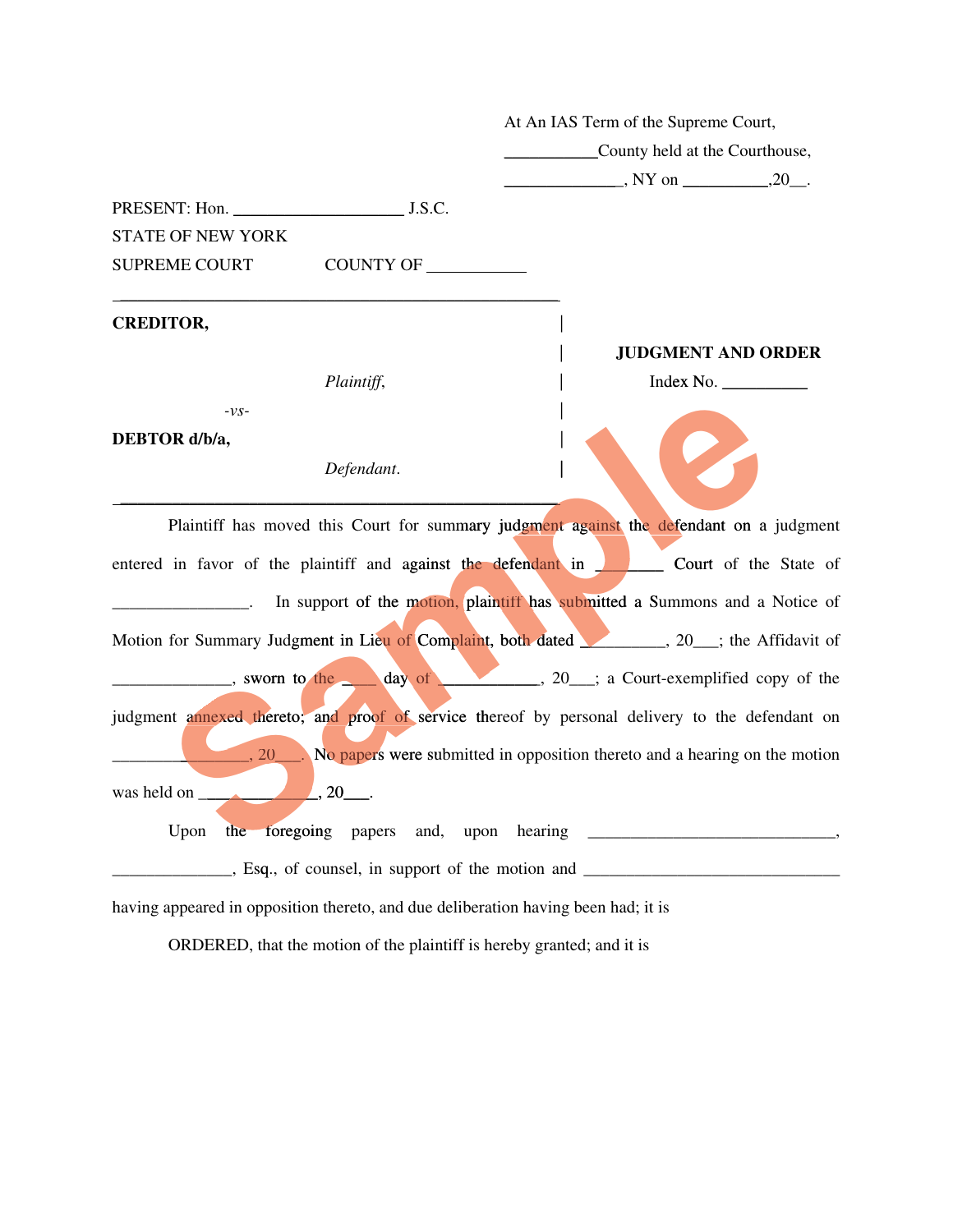| At An IAS Term of the Supreme Court,                                                                    |                                                                             |  |                                |           |                           |
|---------------------------------------------------------------------------------------------------------|-----------------------------------------------------------------------------|--|--------------------------------|-----------|---------------------------|
|                                                                                                         |                                                                             |  | County held at the Courthouse, |           |                           |
|                                                                                                         |                                                                             |  |                                |           |                           |
| PRESENT: Hon. J.S.C.                                                                                    |                                                                             |  |                                |           |                           |
| <b>STATE OF NEW YORK</b>                                                                                |                                                                             |  |                                |           |                           |
| <b>SUPREME COURT</b>                                                                                    | COUNTY OF                                                                   |  |                                |           |                           |
| <b>CREDITOR,</b>                                                                                        |                                                                             |  |                                |           |                           |
|                                                                                                         |                                                                             |  |                                |           | <b>JUDGMENT AND ORDER</b> |
|                                                                                                         | Plaintiff,                                                                  |  |                                | Index No. |                           |
| $-VS-$                                                                                                  |                                                                             |  |                                |           |                           |
| DEBTOR d/b/a,                                                                                           |                                                                             |  |                                |           |                           |
|                                                                                                         | Defendant.                                                                  |  |                                |           |                           |
| Plaintiff has moved this Court for summary judgment against the defendant on a judgment                 |                                                                             |  |                                |           |                           |
| entered in favor of the plaintiff and against the defendant in <b>Figure 20</b> Court of the State of   |                                                                             |  |                                |           |                           |
|                                                                                                         | In support of the motion, plaintiff has submitted a Summons and a Notice of |  |                                |           |                           |
| Motion for Summary Judgment in Lieu of Complaint, both dated 30 (20 ft in Affidavit of                  |                                                                             |  |                                |           |                           |
| $\frac{1}{20}$ , sworn to the day of $\frac{1}{20}$ , 20 $\frac{1}{20}$ a Court-exemplified copy of the |                                                                             |  |                                |           |                           |
| judgment annexed thereto; and proof of service thereof by personal delivery to the defendant on         |                                                                             |  |                                |           |                           |
| 20 No papers were submitted in opposition thereto and a hearing on the motion                           |                                                                             |  |                                |           |                           |
|                                                                                                         |                                                                             |  |                                |           |                           |
|                                                                                                         |                                                                             |  |                                |           |                           |
|                                                                                                         |                                                                             |  |                                |           |                           |
| having appeared in opposition thereto, and due deliberation having been had; it is                      |                                                                             |  |                                |           |                           |

ORDERED, that the motion of the plaintiff is hereby granted; and it is